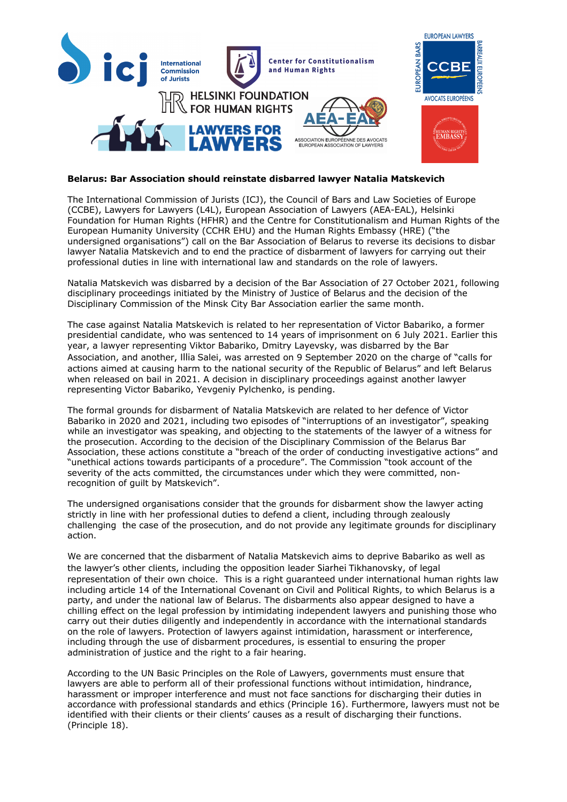

## **Belarus: Bar Association should reinstate disbarred lawyer Natalia Matskevich**

The International Commission of Jurists (ICJ), the Council of Bars and Law Societies of Europe (CCBE), Lawyers for Lawyers (L4L), European Association of Lawyers (AEA-EAL), Helsinki Foundation for Human Rights (HFHR) and the Centre for Constitutionalism and Human Rights of the European Humanity University (CCHR EHU) and the Human Rights Embassy (HRE) ("the undersigned organisations") call on the Bar Association of Belarus to reverse its decisions to disbar lawyer Natalia Matskevich and to end the practice of disbarment of lawyers for carrying out their professional duties in line with international law and standards on the role of lawyers.

Natalia Matskevich was disbarred by a decision of the Bar Association of 27 October 2021, following disciplinary proceedings initiated by the Ministry of Justice of Belarus and the decision of the Disciplinary Commission of the Minsk City Bar Association earlier the same month.

The case against Natalia Matskevich is related to her representation of Victor Babariko, a former presidential candidate, who was sentenced to 14 years of imprisonment on 6 July 2021. Earlier this year, a lawyer representing Viktor Babariko, Dmitry Layevsky, was disbarred by the Bar Association, and another, Illia Salei, was arrested on 9 September 2020 on the charge of "calls for actions aimed at causing harm to the national security of the Republic of Belarus" and left Belarus when released on bail in 2021. A decision in disciplinary proceedings against another lawyer representing Victor Babariko, Yevgeniy Pylchenko, is pending.

The formal grounds for disbarment of Natalia Matskevich are related to her defence of Victor Babariko in 2020 and 2021, including two episodes of "interruptions of an investigator", speaking while an investigator was speaking, and objecting to the statements of the lawyer of a witness for the prosecution. According to the decision of the Disciplinary Commission of the Belarus Bar Association, these actions constitute a "breach of the order of conducting investigative actions" and "unethical actions towards participants of a procedure". The Commission "took account of the severity of the acts committed, the circumstances under which they were committed, nonrecognition of guilt by Matskevich".

The undersigned organisations consider that the grounds for disbarment show the lawyer acting strictly in line with her professional duties to defend a client, including through zealously challenging the case of the prosecution, and do not provide any legitimate grounds for disciplinary action.

We are concerned that the disbarment of Natalia Matskevich aims to deprive Babariko as well as the lawyer's other clients, including the opposition leader Siarhei Tikhanovsky, of legal representation of their own choice. This is a right guaranteed under international human rights law including article 14 of the International Covenant on Civil and Political Rights, to which Belarus is a party, and under the national law of Belarus. The disbarments also appear designed to have a chilling effect on the legal profession by intimidating independent lawyers and punishing those who carry out their duties diligently and independently in accordance with the international standards on the role of lawyers. Protection of lawyers against intimidation, harassment or interference, including through the use of disbarment procedures, is essential to ensuring the proper administration of justice and the right to a fair hearing.

According to the UN Basic Principles on the Role of Lawyers, governments must ensure that lawyers are able to perform all of their professional functions without intimidation, hindrance, harassment or improper interference and must not face sanctions for discharging their duties in accordance with professional standards and ethics (Principle 16). Furthermore, lawyers must not be identified with their clients or their clients' causes as a result of discharging their functions. (Principle 18).